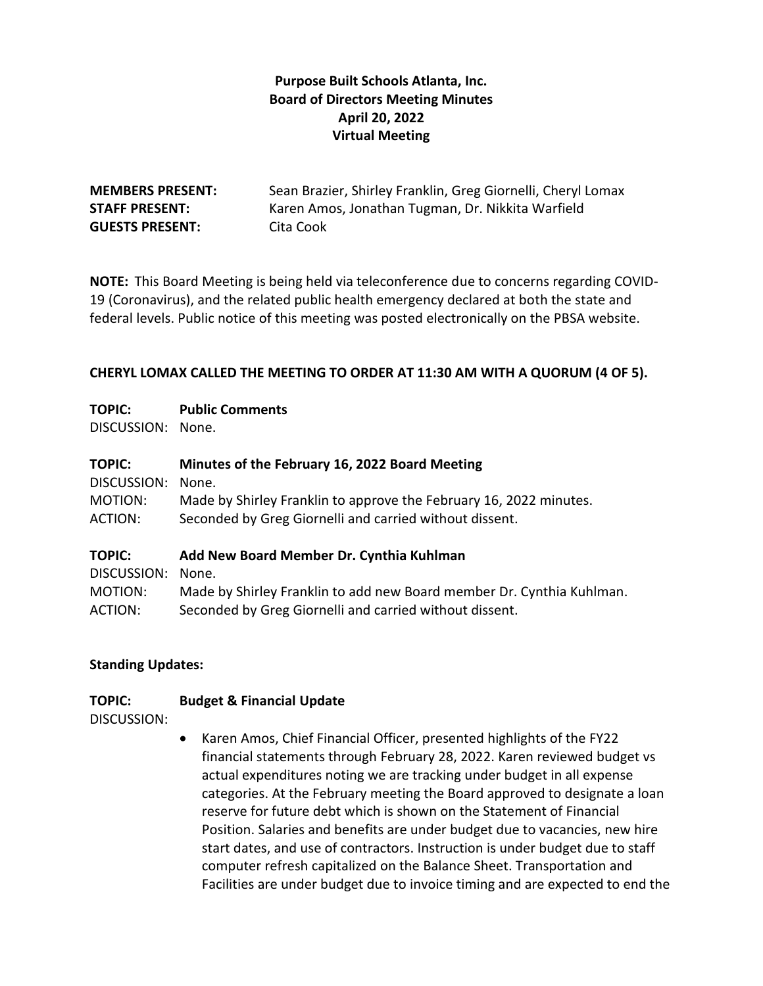## **Purpose Built Schools Atlanta, Inc. Board of Directors Meeting Minutes April 20, 2022 Virtual Meeting**

# **GUESTS PRESENT:** Cita Cook

**MEMBERS PRESENT:** Sean Brazier, Shirley Franklin, Greg Giornelli, Cheryl Lomax **STAFF PRESENT:** Karen Amos, Jonathan Tugman, Dr. Nikkita Warfield

**NOTE:** This Board Meeting is being held via teleconference due to concerns regarding COVID-19 (Coronavirus), and the related public health emergency declared at both the state and federal levels. Public notice of this meeting was posted electronically on the PBSA website.

#### **CHERYL LOMAX CALLED THE MEETING TO ORDER AT 11:30 AM WITH A QUORUM (4 OF 5).**

#### **TOPIC: Public Comments**

DISCUSSION: None.

## **TOPIC: Minutes of the February 16, 2022 Board Meeting**

DISCUSSION: None. MOTION: Made by Shirley Franklin to approve the February 16, 2022 minutes. ACTION: Seconded by Greg Giornelli and carried without dissent.

#### **TOPIC: Add New Board Member Dr. Cynthia Kuhlman**

| DISCUSSION: None.                                                     |
|-----------------------------------------------------------------------|
| Made by Shirley Franklin to add new Board member Dr. Cynthia Kuhlman. |
| Seconded by Greg Giornelli and carried without dissent.               |
|                                                                       |

#### **Standing Updates:**

### **TOPIC: Budget & Financial Update**

DISCUSSION:

• Karen Amos, Chief Financial Officer, presented highlights of the FY22 financial statements through February 28, 2022. Karen reviewed budget vs actual expenditures noting we are tracking under budget in all expense categories. At the February meeting the Board approved to designate a loan reserve for future debt which is shown on the Statement of Financial Position. Salaries and benefits are under budget due to vacancies, new hire start dates, and use of contractors. Instruction is under budget due to staff computer refresh capitalized on the Balance Sheet. Transportation and Facilities are under budget due to invoice timing and are expected to end the